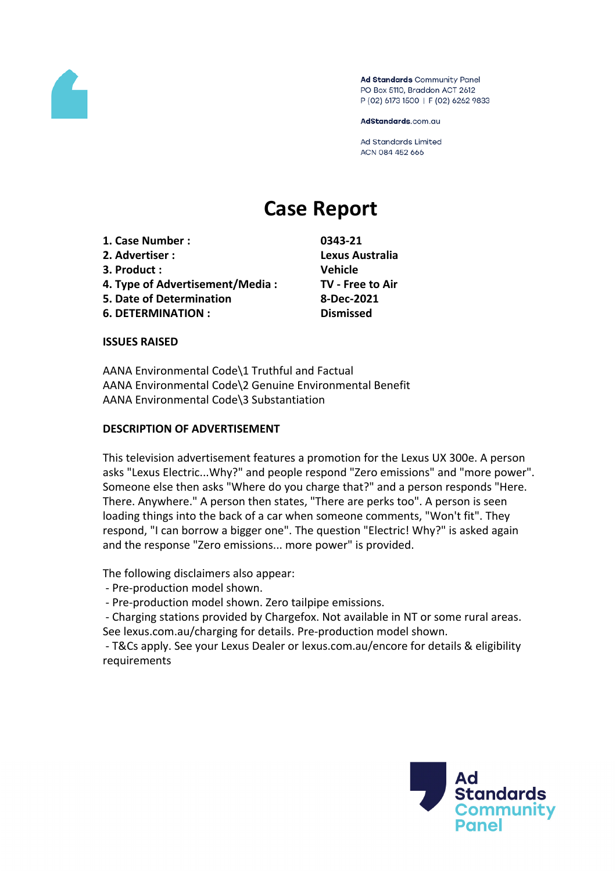

Ad Standards Community Panel PO Box 5110, Braddon ACT 2612 P (02) 6173 1500 | F (02) 6262 9833

AdStandards.com.au

**Ad Standards Limited** ACN 084 452 666

# **Case Report**

- **1. Case Number : 0343-21**
- **2. Advertiser : Lexus Australia**
- **3. Product : Vehicle**
- **4. Type of Advertisement/Media : TV - Free to Air**
- **5. Date of Determination 8-Dec-2021**
- **6. DETERMINATION : Dismissed**

# **ISSUES RAISED**

AANA Environmental Code\1 Truthful and Factual AANA Environmental Code\2 Genuine Environmental Benefit AANA Environmental Code\3 Substantiation

# **DESCRIPTION OF ADVERTISEMENT**

This television advertisement features a promotion for the Lexus UX 300e. A person asks "Lexus Electric...Why?" and people respond "Zero emissions" and "more power". Someone else then asks "Where do you charge that?" and a person responds "Here. There. Anywhere." A person then states, "There are perks too". A person is seen loading things into the back of a car when someone comments, "Won't fit". They respond, "I can borrow a bigger one". The question "Electric! Why?" is asked again and the response "Zero emissions... more power" is provided.

The following disclaimers also appear:

- Pre-production model shown.

- Pre-production model shown. Zero tailpipe emissions.

- Charging stations provided by Chargefox. Not available in NT or some rural areas. See lexus.com.au/charging for details. Pre-production model shown.

- T&Cs apply. See your Lexus Dealer or lexus.com.au/encore for details & eligibility requirements

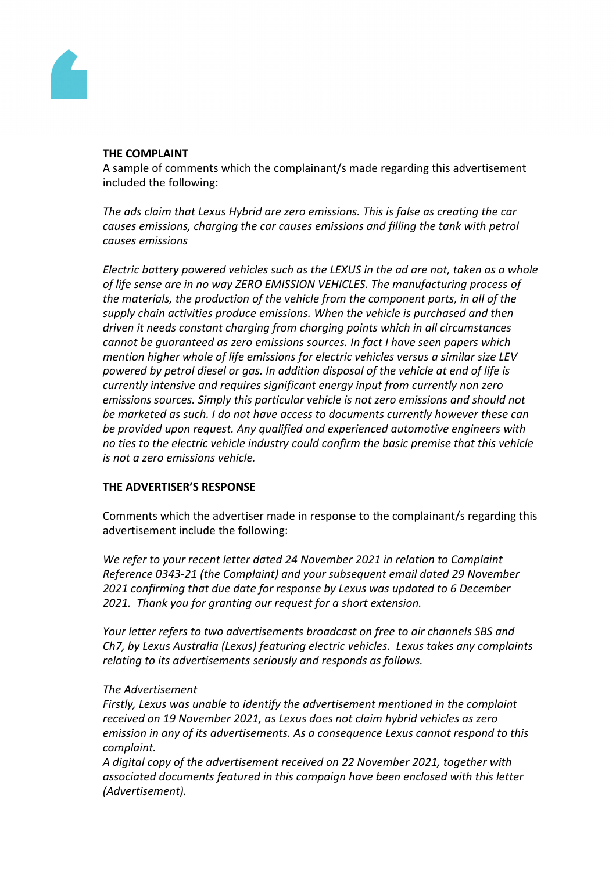

#### **THE COMPLAINT**

A sample of comments which the complainant/s made regarding this advertisement included the following:

*The ads claim that Lexus Hybrid are zero emissions. This is false as creating the car causes emissions, charging the car causes emissions and filling the tank with petrol causes emissions*

*Electric battery powered vehicles such as the LEXUS in the ad are not, taken as a whole of life sense are in no way ZERO EMISSION VEHICLES. The manufacturing process of the materials, the production of the vehicle from the component parts, in all of the supply chain activities produce emissions. When the vehicle is purchased and then driven it needs constant charging from charging points which in all circumstances cannot be guaranteed as zero emissions sources. In fact I have seen papers which mention higher whole of life emissions for electric vehicles versus a similar size LEV powered by petrol diesel or gas. In addition disposal of the vehicle at end of life is currently intensive and requires significant energy input from currently non zero emissions sources. Simply this particular vehicle is not zero emissions and should not be marketed as such. I do not have access to documents currently however these can be provided upon request. Any qualified and experienced automotive engineers with no ties to the electric vehicle industry could confirm the basic premise that this vehicle is not a zero emissions vehicle.*

## **THE ADVERTISER'S RESPONSE**

Comments which the advertiser made in response to the complainant/s regarding this advertisement include the following:

*We refer to your recent letter dated 24 November 2021 in relation to Complaint Reference 0343-21 (the Complaint) and your subsequent email dated 29 November 2021 confirming that due date for response by Lexus was updated to 6 December 2021. Thank you for granting our request for a short extension.*

*Your letter refers to two advertisements broadcast on free to air channels SBS and Ch7, by Lexus Australia (Lexus) featuring electric vehicles. Lexus takes any complaints relating to its advertisements seriously and responds as follows.*

## *The Advertisement*

*Firstly, Lexus was unable to identify the advertisement mentioned in the complaint received on 19 November 2021, as Lexus does not claim hybrid vehicles as zero emission in any of its advertisements. As a consequence Lexus cannot respond to this complaint.*

*A digital copy of the advertisement received on 22 November 2021, together with associated documents featured in this campaign have been enclosed with this letter (Advertisement).*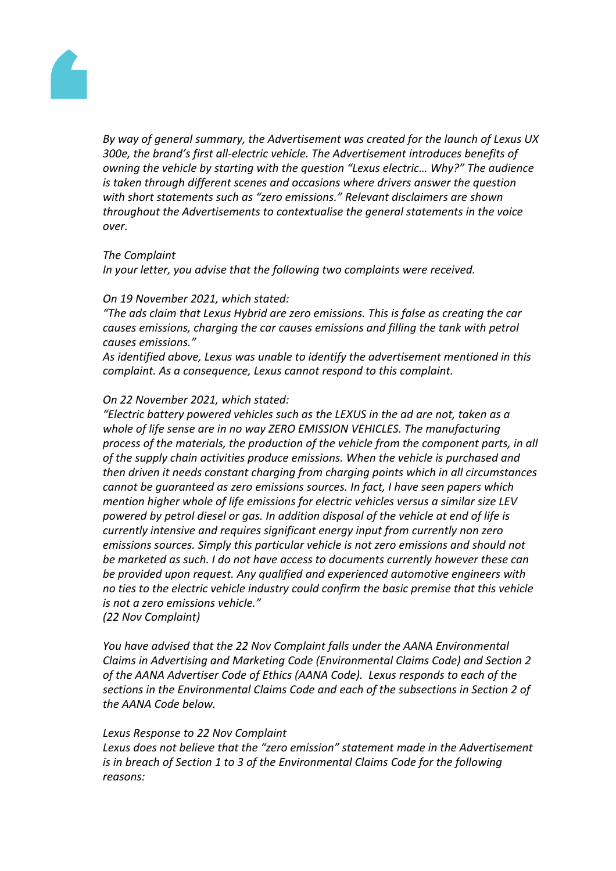

*By way of general summary, the Advertisement was created for the launch of Lexus UX 300e, the brand's first all-electric vehicle. The Advertisement introduces benefits of owning the vehicle by starting with the question "Lexus electric… Why?" The audience is taken through different scenes and occasions where drivers answer the question with short statements such as "zero emissions." Relevant disclaimers are shown throughout the Advertisements to contextualise the general statements in the voice over.*

#### *The Complaint*

*In your letter, you advise that the following two complaints were received.*

#### *On 19 November 2021, which stated:*

*"The ads claim that Lexus Hybrid are zero emissions. This is false as creating the car causes emissions, charging the car causes emissions and filling the tank with petrol causes emissions."*

*As identified above, Lexus was unable to identify the advertisement mentioned in this complaint. As a consequence, Lexus cannot respond to this complaint.*

#### *On 22 November 2021, which stated:*

*"Electric battery powered vehicles such as the LEXUS in the ad are not, taken as a whole of life sense are in no way ZERO EMISSION VEHICLES. The manufacturing process of the materials, the production of the vehicle from the component parts, in all of the supply chain activities produce emissions. When the vehicle is purchased and then driven it needs constant charging from charging points which in all circumstances cannot be guaranteed as zero emissions sources. In fact, I have seen papers which mention higher whole of life emissions for electric vehicles versus a similar size LEV powered by petrol diesel or gas. In addition disposal of the vehicle at end of life is currently intensive and requires significant energy input from currently non zero emissions sources. Simply this particular vehicle is not zero emissions and should not be marketed as such. I do not have access to documents currently however these can be provided upon request. Any qualified and experienced automotive engineers with no ties to the electric vehicle industry could confirm the basic premise that this vehicle is not a zero emissions vehicle." (22 Nov Complaint)*

*You have advised that the 22 Nov Complaint falls under the AANA Environmental Claims in Advertising and Marketing Code (Environmental Claims Code) and Section 2 of the AANA Advertiser Code of Ethics (AANA Code). Lexus responds to each of the sections in the Environmental Claims Code and each of the subsections in Section 2 of the AANA Code below.*

#### *Lexus Response to 22 Nov Complaint*

*Lexus does not believe that the "zero emission" statement made in the Advertisement is in breach of Section 1 to 3 of the Environmental Claims Code for the following reasons:*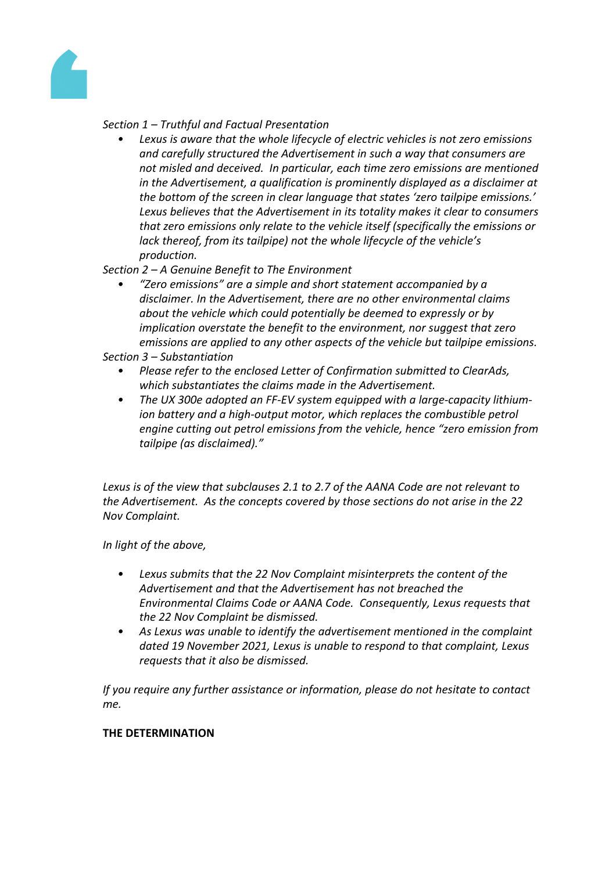

## *Section 1 – Truthful and Factual Presentation*

*• Lexus is aware that the whole lifecycle of electric vehicles is not zero emissions and carefully structured the Advertisement in such a way that consumers are not misled and deceived. In particular, each time zero emissions are mentioned in the Advertisement, a qualification is prominently displayed as a disclaimer at the bottom of the screen in clear language that states 'zero tailpipe emissions.' Lexus believes that the Advertisement in its totality makes it clear to consumers that zero emissions only relate to the vehicle itself (specifically the emissions or lack thereof, from its tailpipe) not the whole lifecycle of the vehicle's production.*

*Section 2 – A Genuine Benefit to The Environment*

*• "Zero emissions" are a simple and short statement accompanied by a disclaimer. In the Advertisement, there are no other environmental claims about the vehicle which could potentially be deemed to expressly or by implication overstate the benefit to the environment, nor suggest that zero emissions are applied to any other aspects of the vehicle but tailpipe emissions.*

*Section 3 – Substantiation*

- *• Please refer to the enclosed Letter of Confirmation submitted to ClearAds, which substantiates the claims made in the Advertisement.*
- *• The UX 300e adopted an FF-EV system equipped with a large-capacity lithiumion battery and a high-output motor, which replaces the combustible petrol engine cutting out petrol emissions from the vehicle, hence "zero emission from tailpipe (as disclaimed)."*

*Lexus is of the view that subclauses 2.1 to 2.7 of the AANA Code are not relevant to the Advertisement. As the concepts covered by those sections do not arise in the 22 Nov Complaint.*

*In light of the above,*

- *• Lexus submits that the 22 Nov Complaint misinterprets the content of the Advertisement and that the Advertisement has not breached the Environmental Claims Code or AANA Code. Consequently, Lexus requests that the 22 Nov Complaint be dismissed.*
- *• As Lexus was unable to identify the advertisement mentioned in the complaint dated 19 November 2021, Lexus is unable to respond to that complaint, Lexus requests that it also be dismissed.*

*If you require any further assistance or information, please do not hesitate to contact me.*

## **THE DETERMINATION**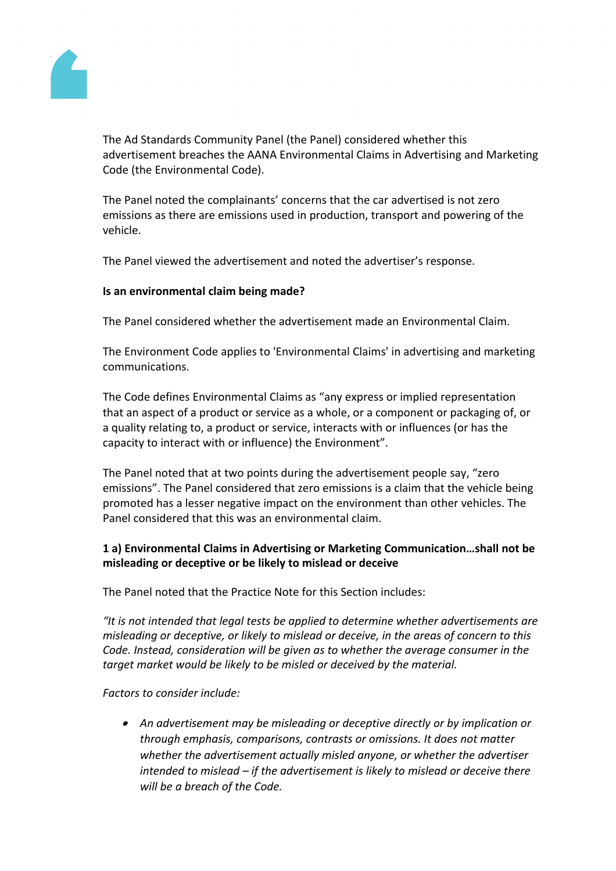

The Ad Standards Community Panel (the Panel) considered whether this advertisement breaches the AANA Environmental Claims in Advertising and Marketing Code (the Environmental Code).

The Panel noted the complainants' concerns that the car advertised is not zero emissions as there are emissions used in production, transport and powering of the vehicle.

The Panel viewed the advertisement and noted the advertiser's response.

## **Is an environmental claim being made?**

The Panel considered whether the advertisement made an Environmental Claim.

The Environment Code applies to 'Environmental Claims' in advertising and marketing communications.

The Code defines Environmental Claims as "any express or implied representation that an aspect of a product or service as a whole, or a component or packaging of, or a quality relating to, a product or service, interacts with or influences (or has the capacity to interact with or influence) the Environment".

The Panel noted that at two points during the advertisement people say, "zero emissions". The Panel considered that zero emissions is a claim that the vehicle being promoted has a lesser negative impact on the environment than other vehicles. The Panel considered that this was an environmental claim.

# **1 a) Environmental Claims in Advertising or Marketing Communication…shall not be misleading or deceptive or be likely to mislead or deceive**

The Panel noted that the Practice Note for this Section includes:

*"It is not intended that legal tests be applied to determine whether advertisements are misleading or deceptive, or likely to mislead or deceive, in the areas of concern to this Code. Instead, consideration will be given as to whether the average consumer in the target market would be likely to be misled or deceived by the material.*

*Factors to consider include:*

 *An advertisement may be misleading or deceptive directly or by implication or through emphasis, comparisons, contrasts or omissions. It does not matter whether the advertisement actually misled anyone, or whether the advertiser intended to mislead – if the advertisement is likely to mislead or deceive there will be a breach of the Code.*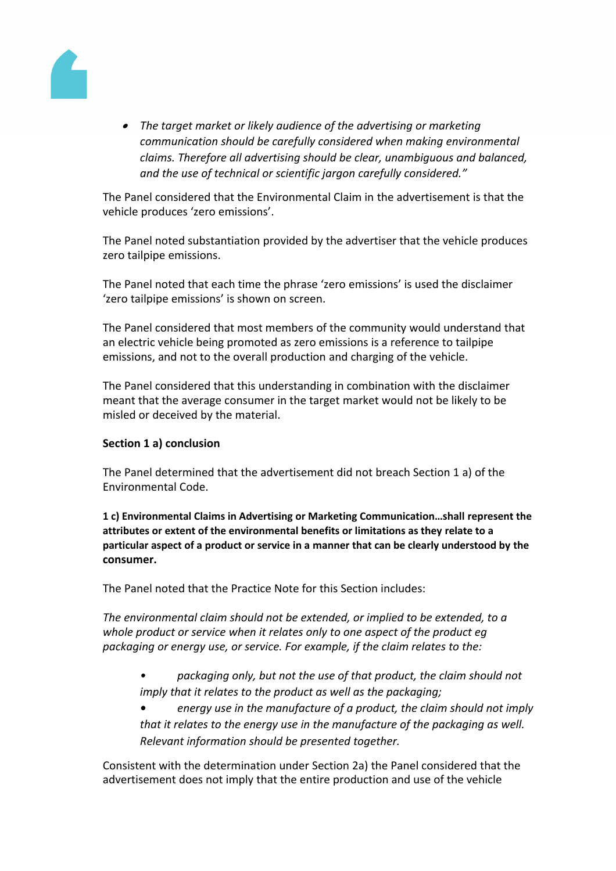

 *The target market or likely audience of the advertising or marketing communication should be carefully considered when making environmental claims. Therefore all advertising should be clear, unambiguous and balanced, and the use of technical or scientific jargon carefully considered."*

The Panel considered that the Environmental Claim in the advertisement is that the vehicle produces 'zero emissions'.

The Panel noted substantiation provided by the advertiser that the vehicle produces zero tailpipe emissions.

The Panel noted that each time the phrase 'zero emissions' is used the disclaimer 'zero tailpipe emissions' is shown on screen.

The Panel considered that most members of the community would understand that an electric vehicle being promoted as zero emissions is a reference to tailpipe emissions, and not to the overall production and charging of the vehicle.

The Panel considered that this understanding in combination with the disclaimer meant that the average consumer in the target market would not be likely to be misled or deceived by the material.

# **Section 1 a) conclusion**

The Panel determined that the advertisement did not breach Section 1 a) of the Environmental Code.

**1 c) Environmental Claims in Advertising or Marketing Communication…shall represent the attributes or extent of the environmental benefits or limitations as they relate to a particular aspect of a product or service in a manner that can be clearly understood by the consumer.**

The Panel noted that the Practice Note for this Section includes:

*The environmental claim should not be extended, or implied to be extended, to a whole product or service when it relates only to one aspect of the product eg packaging or energy use, or service. For example, if the claim relates to the:*

*• packaging only, but not the use of that product, the claim should not imply that it relates to the product as well as the packaging;*

*• energy use in the manufacture of a product, the claim should not imply that it relates to the energy use in the manufacture of the packaging as well. Relevant information should be presented together.*

Consistent with the determination under Section 2a) the Panel considered that the advertisement does not imply that the entire production and use of the vehicle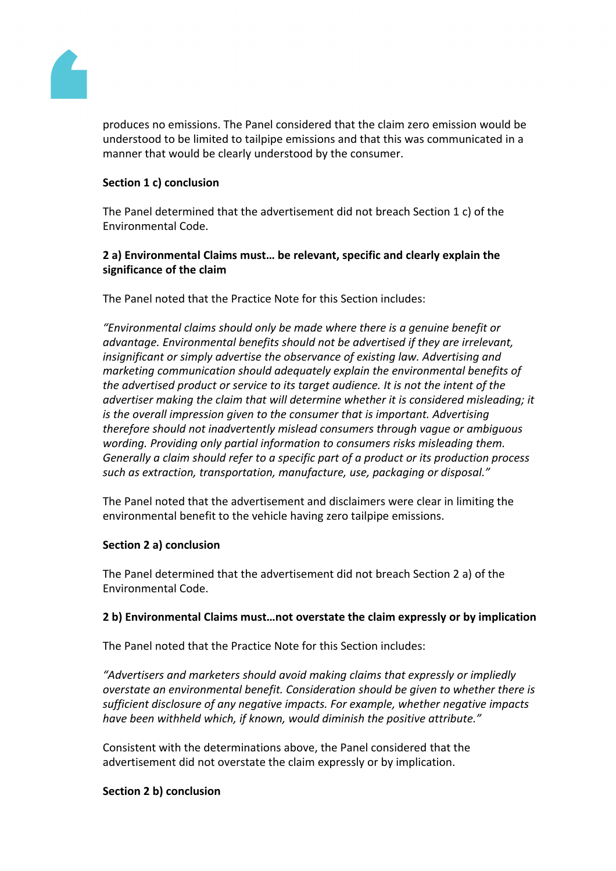

produces no emissions. The Panel considered that the claim zero emission would be understood to be limited to tailpipe emissions and that this was communicated in a manner that would be clearly understood by the consumer.

## **Section 1 c) conclusion**

The Panel determined that the advertisement did not breach Section 1 c) of the Environmental Code.

## **2 a) Environmental Claims must… be relevant, specific and clearly explain the significance of the claim**

The Panel noted that the Practice Note for this Section includes:

*"Environmental claims should only be made where there is a genuine benefit or advantage. Environmental benefits should not be advertised if they are irrelevant, insignificant or simply advertise the observance of existing law. Advertising and marketing communication should adequately explain the environmental benefits of the advertised product or service to its target audience. It is not the intent of the advertiser making the claim that will determine whether it is considered misleading; it is the overall impression given to the consumer that is important. Advertising therefore should not inadvertently mislead consumers through vague or ambiguous wording. Providing only partial information to consumers risks misleading them. Generally a claim should refer to a specific part of a product or its production process such as extraction, transportation, manufacture, use, packaging or disposal."*

The Panel noted that the advertisement and disclaimers were clear in limiting the environmental benefit to the vehicle having zero tailpipe emissions.

## **Section 2 a) conclusion**

The Panel determined that the advertisement did not breach Section 2 a) of the Environmental Code.

## **2 b) Environmental Claims must…not overstate the claim expressly or by implication**

The Panel noted that the Practice Note for this Section includes:

*"Advertisers and marketers should avoid making claims that expressly or impliedly overstate an environmental benefit. Consideration should be given to whether there is sufficient disclosure of any negative impacts. For example, whether negative impacts have been withheld which, if known, would diminish the positive attribute."*

Consistent with the determinations above, the Panel considered that the advertisement did not overstate the claim expressly or by implication.

## **Section 2 b) conclusion**